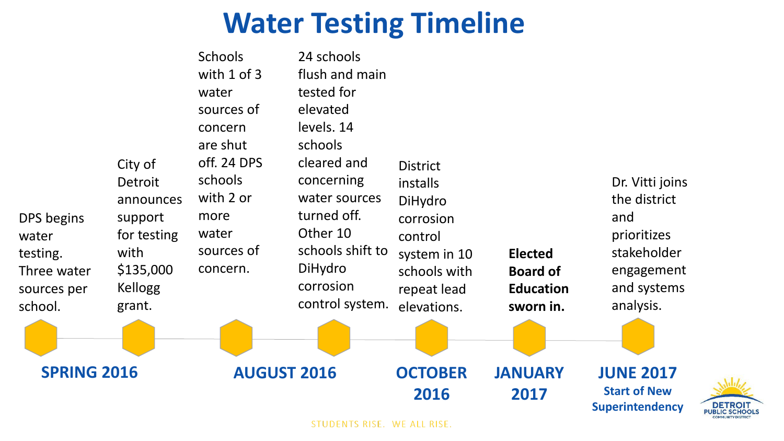### **Water Testing Timeline**

| DPS begins<br>water<br>testing.<br>Three water<br>sources per<br>school. | City of<br>Detroit<br>announces<br>support<br>for testing<br>with<br>\$135,000<br><b>Kellogg</b><br>grant. | sources of<br>concern<br>are shut<br>off. 24 DPS<br>schools<br>with 2 or<br>more<br>water<br>sources of<br>concern. | elevated<br>levels. 14<br>schools<br>cleared and<br>concerning<br>water sources<br>turned off.<br>Other 10<br>schools shift to<br>DiHydro<br>corrosion<br>control system. | <b>District</b><br>installs<br>DiHydro<br>corrosion<br>control<br>system in 10<br>schools with<br>repeat lead<br>elevations. | <b>Elected</b><br><b>Board of</b><br><b>Education</b><br>sworn in. | Dr. Vitti joins<br>the district<br>and<br>prioritizes<br>stakeholder<br>engagement<br>and systems<br>analysis. |  |
|--------------------------------------------------------------------------|------------------------------------------------------------------------------------------------------------|---------------------------------------------------------------------------------------------------------------------|---------------------------------------------------------------------------------------------------------------------------------------------------------------------------|------------------------------------------------------------------------------------------------------------------------------|--------------------------------------------------------------------|----------------------------------------------------------------------------------------------------------------|--|
| <b>SPRING 2016</b>                                                       |                                                                                                            | <b>AUGUST 2016</b>                                                                                                  |                                                                                                                                                                           | <b>OCTOBER</b><br>2016                                                                                                       | <b>JANUARY</b><br>2017                                             | <b>JUNE 2017</b><br><b>Start of New</b><br><b>Superintendency</b>                                              |  |

STUDENTS RISE. WE ALL RISE.

**DETROIT**<br>PUBLIC SCHOOLS **COMMUNITY DISTRICT**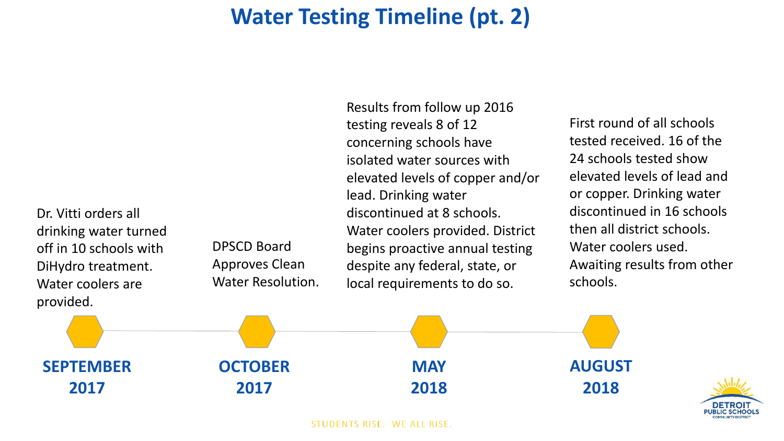#### **Water Testing Timeline (pt. 2)**

Dr. Vitti orders all drinking water turned off in 10 schools with DiHydro treatment. Water coolers are provided.

DPSCD Board Approves Clean Water Resolution. Results from follow up 2016 testing reveals 8 of 12 concerning schools have isolated water sources with elevated levels of copper and/or lead. Drinking water discontinued at 8 schools. Water coolers provided. District begins proactive annual testing despite any federal, state, or local requirements to do so.

First round of all schools tested received. 16 of the 24 schools tested show elevated levels of lead and or copper. Drinking water discontinued in 16 schools then all district schools. Water coolers used. Awaiting results from other schools.



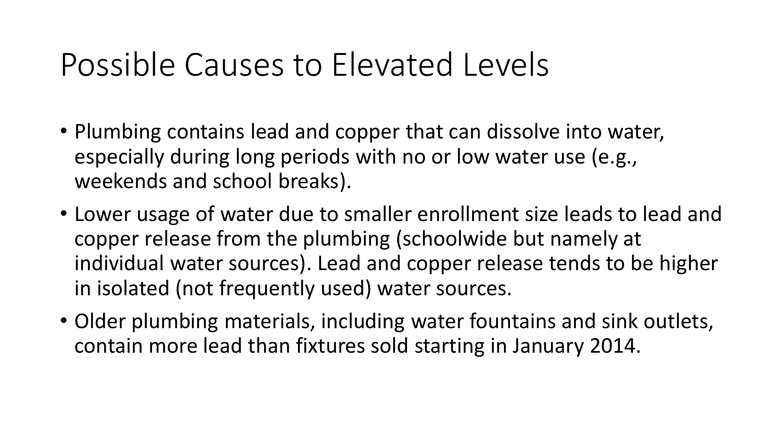## Possible Causes to Elevated Levels

- Plumbing contains lead and copper that can dissolve into water, especially during long periods with no or low water use (e.g., weekends and school breaks).
- Lower usage of water due to smaller enrollment size leads to lead and copper release from the plumbing (schoolwide but namely at individual water sources). Lead and copper release tends to be higher in isolated (not frequently used) water sources.
- Older plumbing materials, including water fountains and sink outlets, contain more lead than fixtures sold starting in January 2014.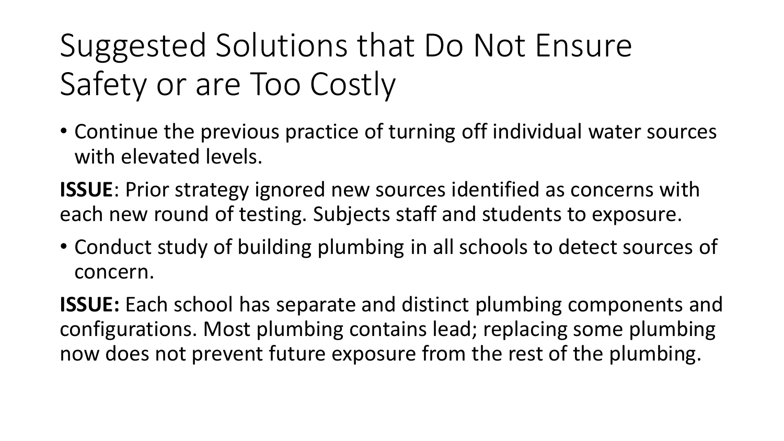# Suggested Solutions that Do Not Ensure Safety or are Too Costly

• Continue the previous practice of turning off individual water sources with elevated levels.

**ISSUE**: Prior strategy ignored new sources identified as concerns with each new round of testing. Subjects staff and students to exposure.

• Conduct study of building plumbing in all schools to detect sources of concern.

**ISSUE:** Each school has separate and distinct plumbing components and configurations. Most plumbing contains lead; replacing some plumbing now does not prevent future exposure from the rest of the plumbing.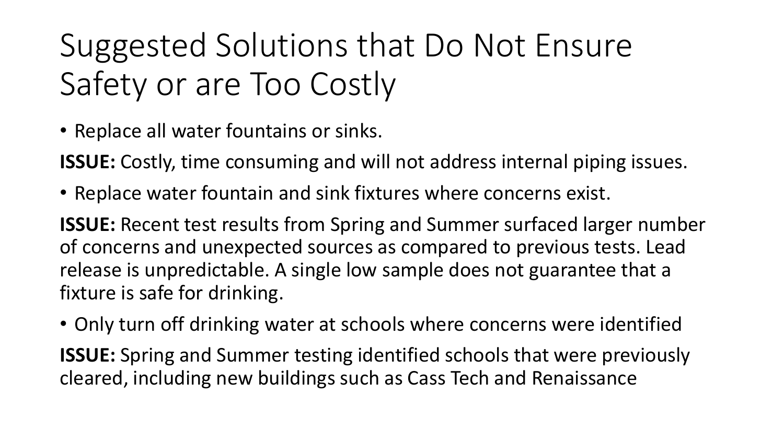# Suggested Solutions that Do Not Ensure Safety or are Too Costly

• Replace all water fountains or sinks.

**ISSUE:** Costly, time consuming and will not address internal piping issues.

• Replace water fountain and sink fixtures where concerns exist.

**ISSUE:** Recent test results from Spring and Summer surfaced larger number of concerns and unexpected sources as compared to previous tests. Lead release is unpredictable. A single low sample does not guarantee that a fixture is safe for drinking.

• Only turn off drinking water at schools where concerns were identified

**ISSUE:** Spring and Summer testing identified schools that were previously cleared, including new buildings such as Cass Tech and Renaissance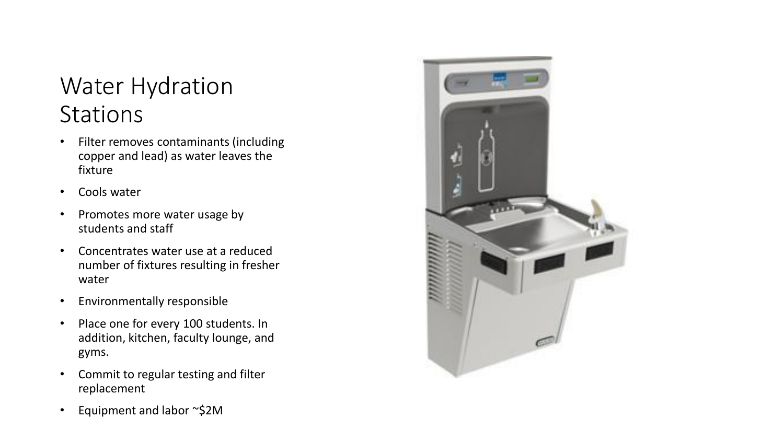#### Water Hydration **Stations**

- Filter removes contaminants (including copper and lead) as water leaves the fixture
- Cools water
- Promotes more water usage by students and staff
- Concentrates water use at a reduced number of fixtures resulting in fresher water
- Environmentally responsible
- Place one for every 100 students. In addition, kitchen, faculty lounge, and gyms.
- Commit to regular testing and filter replacement
- Equipment and labor ~\$2M

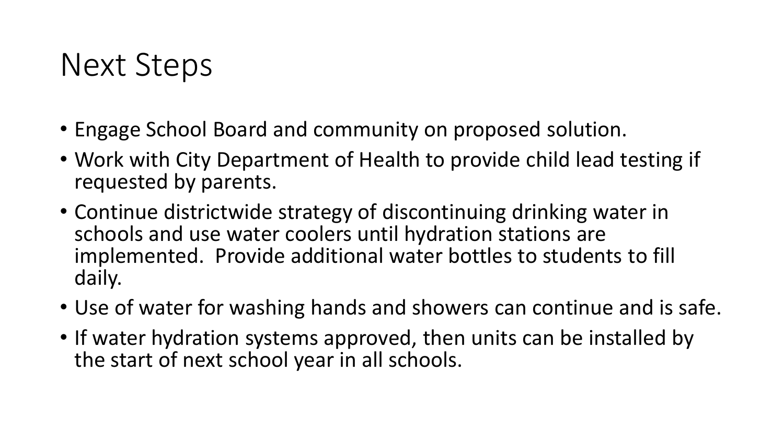### Next Steps

- Engage School Board and community on proposed solution.
- Work with City Department of Health to provide child lead testing if requested by parents.
- Continue districtwide strategy of discontinuing drinking water in schools and use water coolers until hydration stations are implemented. Provide additional water bottles to students to fill daily.
- Use of water for washing hands and showers can continue and is safe.
- If water hydration systems approved, then units can be installed by the start of next school year in all schools.